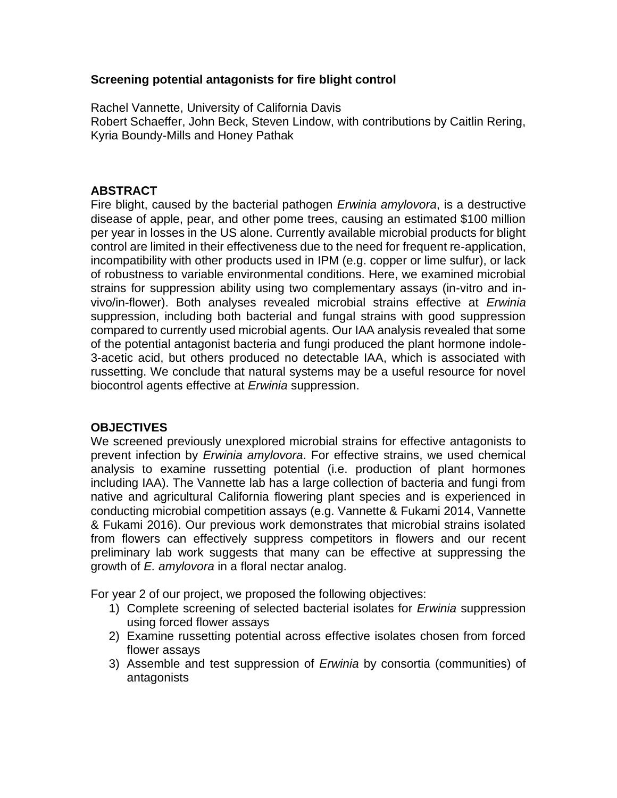## **Screening potential antagonists for fire blight control**

Rachel Vannette, University of California Davis Robert Schaeffer, John Beck, Steven Lindow, with contributions by Caitlin Rering, Kyria Boundy-Mills and Honey Pathak

## **ABSTRACT**

Fire blight, caused by the bacterial pathogen *Erwinia amylovora*, is a destructive disease of apple, pear, and other pome trees, causing an estimated \$100 million per year in losses in the US alone. Currently available microbial products for blight control are limited in their effectiveness due to the need for frequent re-application, incompatibility with other products used in IPM (e.g. copper or lime sulfur), or lack of robustness to variable environmental conditions. Here, we examined microbial strains for suppression ability using two complementary assays (in-vitro and invivo/in-flower). Both analyses revealed microbial strains effective at *Erwinia* suppression, including both bacterial and fungal strains with good suppression compared to currently used microbial agents. Our IAA analysis revealed that some of the potential antagonist bacteria and fungi produced the plant hormone indole-3-acetic acid, but others produced no detectable IAA, which is associated with russetting. We conclude that natural systems may be a useful resource for novel biocontrol agents effective at *Erwinia* suppression.

# **OBJECTIVES**

We screened previously unexplored microbial strains for effective antagonists to prevent infection by *Erwinia amylovora*. For effective strains, we used chemical analysis to examine russetting potential (i.e. production of plant hormones including IAA). The Vannette lab has a large collection of bacteria and fungi from native and agricultural California flowering plant species and is experienced in conducting microbial competition assays (e.g. Vannette & Fukami 2014, Vannette & Fukami 2016). Our previous work demonstrates that microbial strains isolated from flowers can effectively suppress competitors in flowers and our recent preliminary lab work suggests that many can be effective at suppressing the growth of *E. amylovora* in a floral nectar analog.

For year 2 of our project, we proposed the following objectives:

- 1) Complete screening of selected bacterial isolates for *Erwinia* suppression using forced flower assays
- 2) Examine russetting potential across effective isolates chosen from forced flower assays
- 3) Assemble and test suppression of *Erwinia* by consortia (communities) of antagonists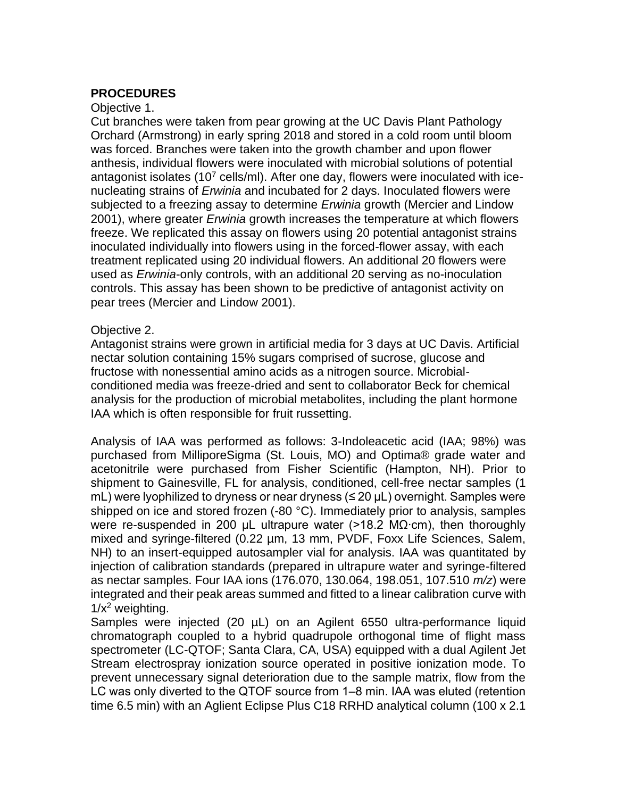## **PROCEDURES**

#### Objective 1.

Cut branches were taken from pear growing at the UC Davis Plant Pathology Orchard (Armstrong) in early spring 2018 and stored in a cold room until bloom was forced. Branches were taken into the growth chamber and upon flower anthesis, individual flowers were inoculated with microbial solutions of potential antagonist isolates  $(10^7 \text{ cells/ml})$ . After one day, flowers were inoculated with icenucleating strains of *Erwinia* and incubated for 2 days. Inoculated flowers were subjected to a freezing assay to determine *Erwinia* growth (Mercier and Lindow 2001), where greater *Erwinia* growth increases the temperature at which flowers freeze. We replicated this assay on flowers using 20 potential antagonist strains inoculated individually into flowers using in the forced-flower assay, with each treatment replicated using 20 individual flowers. An additional 20 flowers were used as *Erwinia*-only controls, with an additional 20 serving as no-inoculation controls. This assay has been shown to be predictive of antagonist activity on pear trees (Mercier and Lindow 2001).

#### Objective 2.

Antagonist strains were grown in artificial media for 3 days at UC Davis. Artificial nectar solution containing 15% sugars comprised of sucrose, glucose and fructose with nonessential amino acids as a nitrogen source. Microbialconditioned media was freeze-dried and sent to collaborator Beck for chemical analysis for the production of microbial metabolites, including the plant hormone IAA which is often responsible for fruit russetting.

Analysis of IAA was performed as follows: 3-Indoleacetic acid (IAA; 98%) was purchased from MilliporeSigma (St. Louis, MO) and Optima® grade water and acetonitrile were purchased from Fisher Scientific (Hampton, NH). Prior to shipment to Gainesville, FL for analysis, conditioned, cell-free nectar samples (1 mL) were lyophilized to dryness or near dryness (≤ 20 µL) overnight. Samples were shipped on ice and stored frozen (-80 °C). Immediately prior to analysis, samples were re-suspended in 200 µL ultrapure water (>18.2 MΩ⋅cm), then thoroughly mixed and syringe-filtered (0.22 µm, 13 mm, PVDF, Foxx Life Sciences, Salem, NH) to an insert-equipped autosampler vial for analysis. IAA was quantitated by injection of calibration standards (prepared in ultrapure water and syringe-filtered as nectar samples. Four IAA ions (176.070, 130.064, 198.051, 107.510 *m/z*) were integrated and their peak areas summed and fitted to a linear calibration curve with  $1/x^2$  weighting.

Samples were injected (20 µL) on an Agilent 6550 ultra-performance liquid chromatograph coupled to a hybrid quadrupole orthogonal time of flight mass spectrometer (LC-QTOF; Santa Clara, CA, USA) equipped with a dual Agilent Jet Stream electrospray ionization source operated in positive ionization mode. To prevent unnecessary signal deterioration due to the sample matrix, flow from the LC was only diverted to the QTOF source from 1–8 min. IAA was eluted (retention time 6.5 min) with an Aglient Eclipse Plus C18 RRHD analytical column (100 x 2.1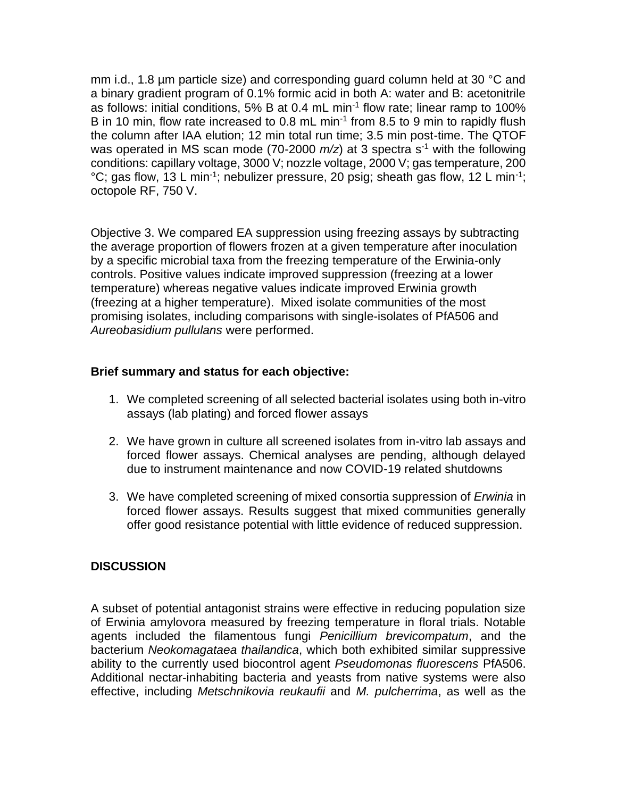mm i.d., 1.8 µm particle size) and corresponding guard column held at 30 °C and a binary gradient program of 0.1% formic acid in both A: water and B: acetonitrile as follows: initial conditions, 5% B at 0.4 mL min<sup>-1</sup> flow rate; linear ramp to 100% B in 10 min, flow rate increased to 0.8 mL min<sup>-1</sup> from 8.5 to 9 min to rapidly flush the column after IAA elution; 12 min total run time; 3.5 min post-time. The QTOF was operated in MS scan mode (70-2000 *m/z*) at 3 spectra s<sup>-1</sup> with the following conditions: capillary voltage, 3000 V; nozzle voltage, 2000 V; gas temperature, 200 °C; gas flow, 13 L min<sup>-1</sup>; nebulizer pressure, 20 psig; sheath gas flow, 12 L min<sup>-1</sup>; octopole RF, 750 V.

Objective 3. We compared EA suppression using freezing assays by subtracting the average proportion of flowers frozen at a given temperature after inoculation by a specific microbial taxa from the freezing temperature of the Erwinia-only controls. Positive values indicate improved suppression (freezing at a lower temperature) whereas negative values indicate improved Erwinia growth (freezing at a higher temperature). Mixed isolate communities of the most promising isolates, including comparisons with single-isolates of PfA506 and *Aureobasidium pullulans* were performed.

### **Brief summary and status for each objective:**

- 1. We completed screening of all selected bacterial isolates using both in-vitro assays (lab plating) and forced flower assays
- 2. We have grown in culture all screened isolates from in-vitro lab assays and forced flower assays. Chemical analyses are pending, although delayed due to instrument maintenance and now COVID-19 related shutdowns
- 3. We have completed screening of mixed consortia suppression of *Erwinia* in forced flower assays. Results suggest that mixed communities generally offer good resistance potential with little evidence of reduced suppression.

# **DISCUSSION**

A subset of potential antagonist strains were effective in reducing population size of Erwinia amylovora measured by freezing temperature in floral trials. Notable agents included the filamentous fungi *Penicillium brevicompatum*, and the bacterium *Neokomagataea thailandica*, which both exhibited similar suppressive ability to the currently used biocontrol agent *Pseudomonas fluorescens* PfA506. Additional nectar-inhabiting bacteria and yeasts from native systems were also effective, including *Metschnikovia reukaufii* and *M. pulcherrima*, as well as the